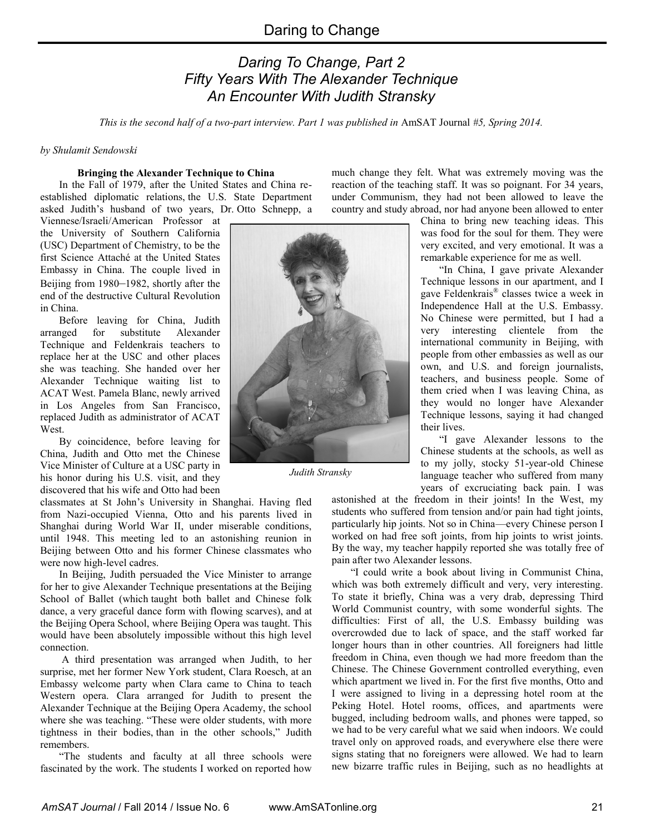# *Daring To Change, Part 2 Fifty Years With The Alexander Technique An Encounter With Judith Stransky*

*This is the second half of a two-part interview. Part 1 was published in* AmSAT Journal *#5, Spring 2014.*

## *by Shulamit Sendowski*

#### **Bringing the Alexander Technique to China**

In the Fall of 1979, after the United States and China reestablished diplomatic relations, the U.S. State Department asked Judith's husband of two years, Dr. Otto Schnepp, a

Viennese/Israeli/American Professor at the University of Southern California (USC) Department of Chemistry, to be the first Science Attaché at the United States Embassy in China. The couple lived in Beijing from 1980–1982, shortly after the end of the destructive Cultural Revolution in China.

Before leaving for China, Judith arranged for substitute Alexander Technique and Feldenkrais teachers to replace her at the USC and other places she was teaching. She handed over her Alexander Technique waiting list to ACAT West. Pamela Blanc, newly arrived in Los Angeles from San Francisco, replaced Judith as administrator of ACAT West.

By coincidence, before leaving for China, Judith and Otto met the Chinese Vice Minister of Culture at a USC party in his honor during his U.S. visit, and they discovered that his wife and Otto had been

classmates at St John's University in Shanghai. Having fled from Nazi-occupied Vienna, Otto and his parents lived in Shanghai during World War II, under miserable conditions, until 1948. This meeting led to an astonishing reunion in Beijing between Otto and his former Chinese classmates who were now high-level cadres.

In Beijing, Judith persuaded the Vice Minister to arrange for her to give Alexander Technique presentations at the Beijing School of Ballet (which taught both ballet and Chinese folk dance, a very graceful dance form with flowing scarves), and at the Beijing Opera School, where Beijing Opera was taught. This would have been absolutely impossible without this high level connection.

A third presentation was arranged when Judith, to her surprise, met her former New York student, Clara Roesch, at an Embassy welcome party when Clara came to China to teach Western opera. Clara arranged for Judith to present the Alexander Technique at the Beijing Opera Academy, the school where she was teaching. "These were older students, with more tightness in their bodies, than in the other schools," Judith remembers.

"The students and faculty at all three schools were fascinated by the work. The students I worked on reported how much change they felt. What was extremely moving was the reaction of the teaching staff. It was so poignant. For 34 years, under Communism, they had not been allowed to leave the country and study abroad, nor had anyone been allowed to enter

> China to bring new teaching ideas. This was food for the soul for them. They were very excited, and very emotional. It was a remarkable experience for me as well.

> "In China, I gave private Alexander Technique lessons in our apartment, and I gave Feldenkrais® classes twice a week in Independence Hall at the U.S. Embassy. No Chinese were permitted, but I had a very interesting clientele from the international community in Beijing, with people from other embassies as well as our own, and U.S. and foreign journalists, teachers, and business people. Some of them cried when I was leaving China, as they would no longer have Alexander Technique lessons, saying it had changed their lives.

> "I gave Alexander lessons to the Chinese students at the schools, as well as to my jolly, stocky 51-year-old Chinese language teacher who suffered from many years of excruciating back pain. I was

astonished at the freedom in their joints! In the West, my students who suffered from tension and/or pain had tight joints, particularly hip joints. Not so in China––every Chinese person I worked on had free soft joints, from hip joints to wrist joints. By the way, my teacher happily reported she was totally free of pain after two Alexander lessons.

"I could write a book about living in Communist China, which was both extremely difficult and very, very interesting. To state it briefly, China was a very drab, depressing Third World Communist country, with some wonderful sights. The difficulties: First of all, the U.S. Embassy building was overcrowded due to lack of space, and the staff worked far longer hours than in other countries. All foreigners had little freedom in China, even though we had more freedom than the Chinese. The Chinese Government controlled everything, even which apartment we lived in. For the first five months, Otto and I were assigned to living in a depressing hotel room at the Peking Hotel. Hotel rooms, offices, and apartments were bugged, including bedroom walls, and phones were tapped, so we had to be very careful what we said when indoors. We could travel only on approved roads, and everywhere else there were signs stating that no foreigners were allowed. We had to learn new bizarre traffic rules in Beijing, such as no headlights at



*Judith Stransky*

*AmSAT Journal* / Fall 2014 / Issue No. 6 www.AmSATonline.org 21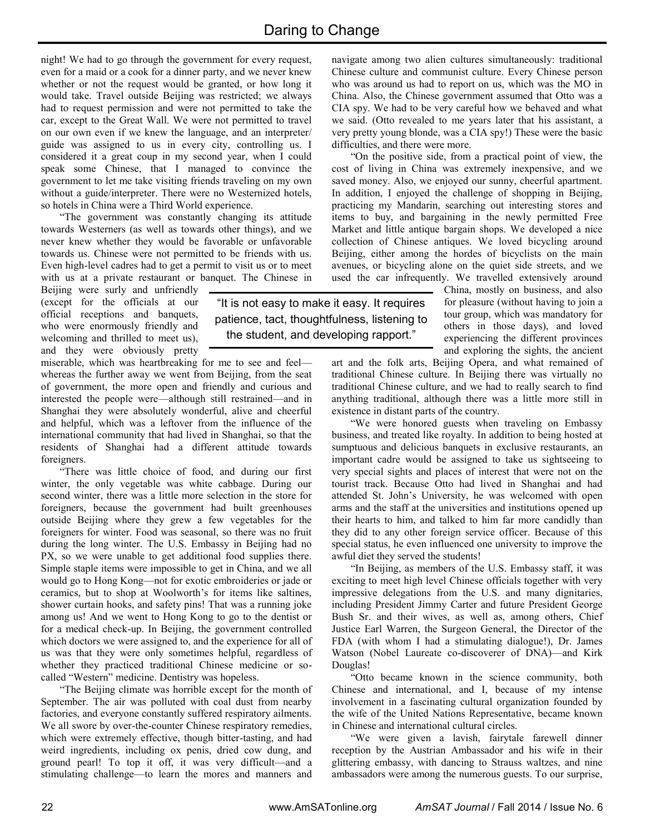night! We had to go through the government for every request, even for a maid or a cook for a dinner party, and we never knew whether or not the request would be granted, or how long it would take. Travel outside Beijing was restricted; we always had to request permission and were not permitted to take the car, except to the Great Wall. We were not permitted to travel on our own even if we knew the language, and an interpreter/ guide was assigned to us in every city, controlling us. I considered it a great coup in my second year, when I could speak some Chinese, that I managed to convince the government to let me take visiting friends traveling on my own without a guide/interpreter. There were no Westernized hotels, so hotels in China were a Third World experience.

"The government was constantly changing its attitude towards Westerners (as well as towards other things), and we never knew whether they would be favorable or unfavorable towards us. Chinese were not permitted to be friends with us. Even high-level cadres had to get a permit to visit us or to meet with us at a private restaurant or banquet. The Chinese in

Beijing were surly and unfriendly (except for the officials at our official receptions and banquets, who were enormously friendly and welcoming and thrilled to meet us), and they were obviously pretty

miserable, which was heartbreaking for me to see and feel–– whereas the further away we went from Beijing, from the seat of government, the more open and friendly and curious and interested the people were––although still restrained––and in Shanghai they were absolutely wonderful, alive and cheerful and helpful, which was a leftover from the influence of the international community that had lived in Shanghai, so that the residents of Shanghai had a different attitude towards foreigners.

"There was little choice of food, and during our first winter, the only vegetable was white cabbage. During our second winter, there was a little more selection in the store for foreigners, because the government had built greenhouses outside Beijing where they grew a few vegetables for the foreigners for winter. Food was seasonal, so there was no fruit during the long winter. The U.S. Embassy in Beijing had no PX, so we were unable to get additional food supplies there. Simple staple items were impossible to get in China, and we all would go to Hong Kong––not for exotic embroideries or jade or ceramics, but to shop at Woolworth's for items like saltines, shower curtain hooks, and safety pins! That was a running joke among us! And we went to Hong Kong to go to the dentist or for a medical check-up. In Beijing, the government controlled which doctors we were assigned to, and the experience for all of us was that they were only sometimes helpful, regardless of whether they practiced traditional Chinese medicine or socalled "Western" medicine. Dentistry was hopeless.

"The Beijing climate was horrible except for the month of September. The air was polluted with coal dust from nearby factories, and everyone constantly suffered respiratory ailments. We all swore by over-the-counter Chinese respiratory remedies, which were extremely effective, though bitter-tasting, and had weird ingredients, including ox penis, dried cow dung, and ground pearl! To top it off, it was very difficult—and a stimulating challenge—to learn the mores and manners and

navigate among two alien cultures simultaneously: traditional Chinese culture and communist culture. Every Chinese person who was around us had to report on us, which was the MO in China. Also, the Chinese government assumed that Otto was a CIA spy. We had to be very careful how we behaved and what we said. (Otto revealed to me years later that his assistant, a very pretty young blonde, was a CIA spy!) These were the basic difficulties, and there were more.

"On the positive side, from a practical point of view, the cost of living in China was extremely inexpensive, and we saved money. Also, we enjoyed our sunny, cheerful apartment. In addition, I enjoyed the challenge of shopping in Beijing, practicing my Mandarin, searching out interesting stores and items to buy, and bargaining in the newly permitted Free Market and little antique bargain shops. We developed a nice collection of Chinese antiques. We loved bicycling around Beijing, either among the hordes of bicyclists on the main avenues, or bicycling alone on the quiet side streets, and we used the car infrequently. We travelled extensively around

China, mostly on business, and also for pleasure (without having to join a tour group, which was mandatory for others in those days), and loved experiencing the different provinces and exploring the sights, the ancient

art and the folk arts, Beijing Opera, and what remained of traditional Chinese culture. In Beijing there was virtually no traditional Chinese culture, and we had to really search to find anything traditional, although there was a little more still in existence in distant parts of the country.

"We were honored guests when traveling on Embassy business, and treated like royalty. In addition to being hosted at sumptuous and delicious banquets in exclusive restaurants, an important cadre would be assigned to take us sightseeing to very special sights and places of interest that were not on the tourist track. Because Otto had lived in Shanghai and had attended St. John's University, he was welcomed with open arms and the staff at the universities and institutions opened up their hearts to him, and talked to him far more candidly than they did to any other foreign service officer. Because of this special status, he even influenced one university to improve the awful diet they served the students!

"In Beijing, as members of the U.S. Embassy staff, it was exciting to meet high level Chinese officials together with very impressive delegations from the U.S. and many dignitaries, including President Jimmy Carter and future President George Bush Sr. and their wives, as well as, among others, Chief Justice Earl Warren, the Surgeon General, the Director of the FDA (with whom I had a stimulating dialogue!), Dr. James Watson (Nobel Laureate co-discoverer of DNA)—and Kirk Douglas!

"Otto became known in the science community, both Chinese and international, and I, because of my intense involvement in a fascinating cultural organization founded by the wife of the United Nations Representative, became known in Chinese and international cultural circles.

"We were given a lavish, fairytale farewell dinner reception by the Austrian Ambassador and his wife in their glittering embassy, with dancing to Strauss waltzes, and nine ambassadors were among the numerous guests. To our surprise,

"It is not easy to make it easy. It requires patience, tact, thoughtfulness, listening to the student, and developing rapport."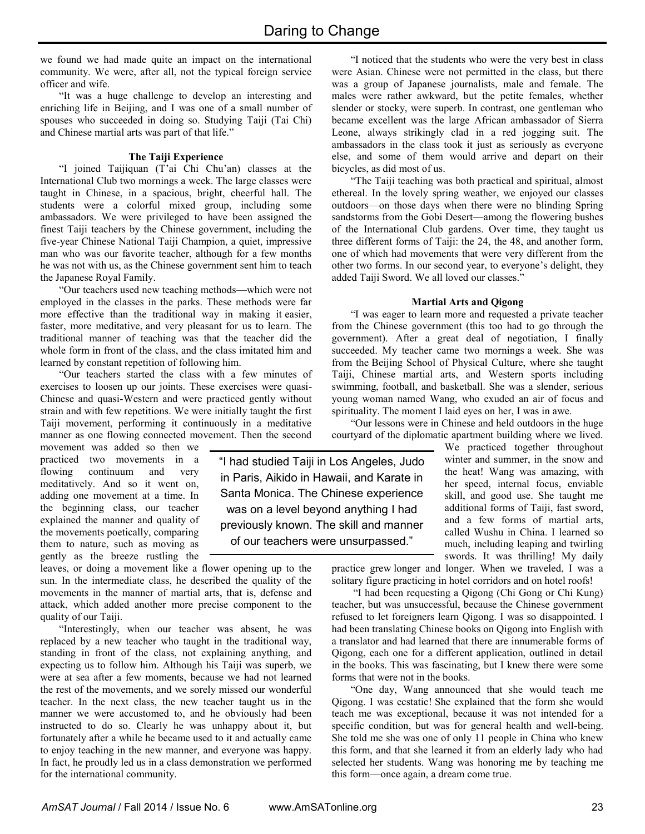we found we had made quite an impact on the international community. We were, after all, not the typical foreign service officer and wife.

"It was a huge challenge to develop an interesting and enriching life in Beijing, and I was one of a small number of spouses who succeeded in doing so. Studying Taiji (Tai Chi) and Chinese martial arts was part of that life."

# **The Taiji Experience**

"I joined Taijiquan (T'ai Chi Chu'an) classes at the International Club two mornings a week. The large classes were taught in Chinese, in a spacious, bright, cheerful hall. The students were a colorful mixed group, including some ambassadors. We were privileged to have been assigned the finest Taiji teachers by the Chinese government, including the five-year Chinese National Taiji Champion, a quiet, impressive man who was our favorite teacher, although for a few months he was not with us, as the Chinese government sent him to teach the Japanese Royal Family.

"Our teachers used new teaching methods—which were not employed in the classes in the parks. These methods were far more effective than the traditional way in making it easier, faster, more meditative, and very pleasant for us to learn. The traditional manner of teaching was that the teacher did the whole form in front of the class, and the class imitated him and learned by constant repetition of following him.

"Our teachers started the class with a few minutes of exercises to loosen up our joints. These exercises were quasi-Chinese and quasi-Western and were practiced gently without strain and with few repetitions. We were initially taught the first Taiji movement, performing it continuously in a meditative manner as one flowing connected movement. Then the second

movement was added so then we practiced two movements in a flowing continuum and very meditatively. And so it went on, adding one movement at a time. In the beginning class, our teacher explained the manner and quality of the movements poetically, comparing them to nature, such as moving as gently as the breeze rustling the

leaves, or doing a movement like a flower opening up to the sun. In the intermediate class, he described the quality of the movements in the manner of martial arts, that is, defense and attack, which added another more precise component to the quality of our Taiji.

"Interestingly, when our teacher was absent, he was replaced by a new teacher who taught in the traditional way, standing in front of the class, not explaining anything, and expecting us to follow him. Although his Taiji was superb, we were at sea after a few moments, because we had not learned the rest of the movements, and we sorely missed our wonderful teacher. In the next class, the new teacher taught us in the manner we were accustomed to, and he obviously had been instructed to do so. Clearly he was unhappy about it, but fortunately after a while he became used to it and actually came to enjoy teaching in the new manner, and everyone was happy. In fact, he proudly led us in a class demonstration we performed for the international community.

"I noticed that the students who were the very best in class were Asian. Chinese were not permitted in the class, but there was a group of Japanese journalists, male and female. The males were rather awkward, but the petite females, whether slender or stocky, were superb. In contrast, one gentleman who became excellent was the large African ambassador of Sierra Leone, always strikingly clad in a red jogging suit. The ambassadors in the class took it just as seriously as everyone else, and some of them would arrive and depart on their bicycles, as did most of us.

"The Taiji teaching was both practical and spiritual, almost ethereal. In the lovely spring weather, we enjoyed our classes outdoors—on those days when there were no blinding Spring sandstorms from the Gobi Desert—among the flowering bushes of the International Club gardens. Over time, they taught us three different forms of Taiji: the 24, the 48, and another form, one of which had movements that were very different from the other two forms. In our second year, to everyone's delight, they added Taiji Sword. We all loved our classes."

## **Martial Arts and Qigong**

"I was eager to learn more and requested a private teacher from the Chinese government (this too had to go through the government). After a great deal of negotiation, I finally succeeded. My teacher came two mornings a week. She was from the Beijing School of Physical Culture, where she taught Taiji, Chinese martial arts, and Western sports including swimming, football, and basketball. She was a slender, serious young woman named Wang, who exuded an air of focus and spirituality. The moment I laid eyes on her, I was in awe.

"Our lessons were in Chinese and held outdoors in the huge courtyard of the diplomatic apartment building where we lived.

"I had studied Taiji in Los Angeles, Judo in Paris, Aikido in Hawaii, and Karate in Santa Monica. The Chinese experience was on a level beyond anything I had previously known. The skill and manner of our teachers were unsurpassed."

We practiced together throughout winter and summer, in the snow and the heat! Wang was amazing, with her speed, internal focus, enviable skill, and good use. She taught me additional forms of Taiji, fast sword, and a few forms of martial arts, called Wushu in China. I learned so much, including leaping and twirling swords. It was thrilling! My daily

practice grew longer and longer. When we traveled, I was a solitary figure practicing in hotel corridors and on hotel roofs!

"I had been requesting a Qigong (Chi Gong or Chi Kung) teacher, but was unsuccessful, because the Chinese government refused to let foreigners learn Qigong. I was so disappointed. I had been translating Chinese books on Qigong into English with a translator and had learned that there are innumerable forms of Qigong, each one for a different application, outlined in detail in the books. This was fascinating, but I knew there were some forms that were not in the books.

"One day, Wang announced that she would teach me Qigong. I was ecstatic! She explained that the form she would teach me was exceptional, because it was not intended for a specific condition, but was for general health and well-being. She told me she was one of only 11 people in China who knew this form, and that she learned it from an elderly lady who had selected her students. Wang was honoring me by teaching me this form—once again, a dream come true.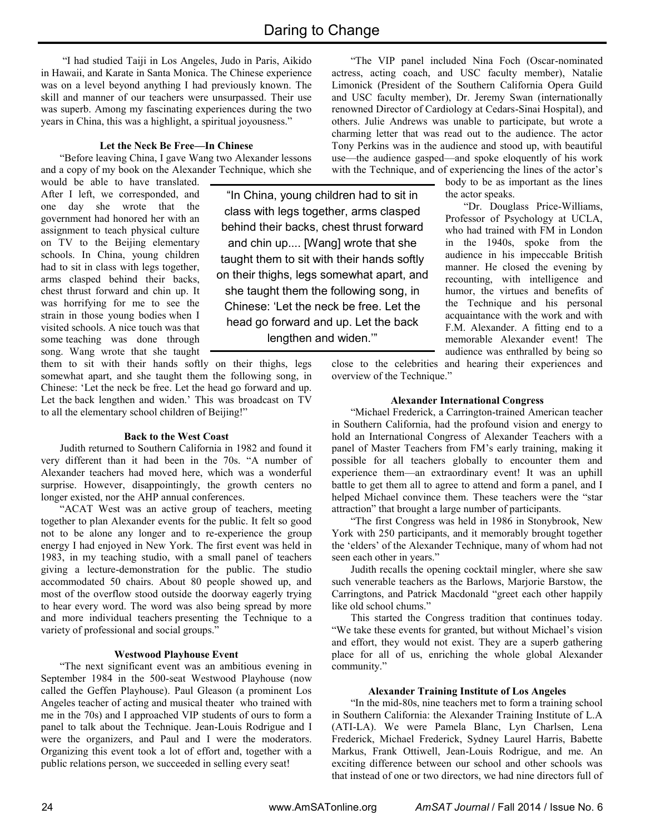"In China, young children had to sit in class with legs together, arms clasped behind their backs, chest thrust forward and chin up.... [Wang] wrote that she taught them to sit with their hands softly on their thighs, legs somewhat apart, and she taught them the following song, in Chinese: 'Let the neck be free. Let the head go forward and up. Let the back lengthen and widen.'"

"I had studied Taiji in Los Angeles, Judo in Paris, Aikido in Hawaii, and Karate in Santa Monica. The Chinese experience was on a level beyond anything I had previously known. The skill and manner of our teachers were unsurpassed. Their use was superb. Among my fascinating experiences during the two years in China, this was a highlight, a spiritual joyousness."

## **Let the Neck Be Free—In Chinese**

"Before leaving China, I gave Wang two Alexander lessons and a copy of my book on the Alexander Technique, which she

would be able to have translated. After I left, we corresponded, and one day she wrote that the government had honored her with an assignment to teach physical culture on TV to the Beijing elementary schools. In China, young children had to sit in class with legs together, arms clasped behind their backs, chest thrust forward and chin up. It was horrifying for me to see the strain in those young bodies when I visited schools. A nice touch was that some teaching was done through song. Wang wrote that she taught

them to sit with their hands softly on their thighs, legs somewhat apart, and she taught them the following song, in Chinese: 'Let the neck be free. Let the head go forward and up. Let the back lengthen and widen.' This was broadcast on TV to all the elementary school children of Beijing!"

## **Back to the West Coast**

Judith returned to Southern California in 1982 and found it very different than it had been in the 70s. "A number of Alexander teachers had moved here, which was a wonderful surprise. However, disappointingly, the growth centers no longer existed, nor the AHP annual conferences.

"ACAT West was an active group of teachers, meeting together to plan Alexander events for the public. It felt so good not to be alone any longer and to re-experience the group energy I had enjoyed in New York. The first event was held in 1983, in my teaching studio, with a small panel of teachers giving a lecture-demonstration for the public. The studio accommodated 50 chairs. About 80 people showed up, and most of the overflow stood outside the doorway eagerly trying to hear every word. The word was also being spread by more and more individual teachers presenting the Technique to a variety of professional and social groups."

# **Westwood Playhouse Event**

"The next significant event was an ambitious evening in September 1984 in the 500-seat Westwood Playhouse (now called the Geffen Playhouse). Paul Gleason (a prominent Los Angeles teacher of acting and musical theater who trained with me in the 70s) and I approached VIP students of ours to form a panel to talk about the Technique. Jean-Louis Rodrigue and I were the organizers, and Paul and I were the moderators. Organizing this event took a lot of effort and, together with a public relations person, we succeeded in selling every seat!

"The VIP panel included Nina Foch (Oscar-nominated actress, acting coach, and USC faculty member), Natalie Limonick (President of the Southern California Opera Guild and USC faculty member), Dr. Jeremy Swan (internationally renowned Director of Cardiology at Cedars-Sinai Hospital), and others. Julie Andrews was unable to participate, but wrote a charming letter that was read out to the audience. The actor Tony Perkins was in the audience and stood up, with beautiful use––the audience gasped––and spoke eloquently of his work with the Technique, and of experiencing the lines of the actor's

body to be as important as the lines the actor speaks.

 "Dr. Douglass Price-Williams, Professor of Psychology at UCLA, who had trained with FM in London in the 1940s, spoke from the audience in his impeccable British manner. He closed the evening by recounting, with intelligence and humor, the virtues and benefits of the Technique and his personal acquaintance with the work and with F.M. Alexander. A fitting end to a memorable Alexander event! The audience was enthralled by being so

close to the celebrities and hearing their experiences and overview of the Technique."

#### **Alexander International Congress**

"Michael Frederick, a Carrington-trained American teacher in Southern California, had the profound vision and energy to hold an International Congress of Alexander Teachers with a panel of Master Teachers from FM's early training, making it possible for all teachers globally to encounter them and experience them—an extraordinary event! It was an uphill battle to get them all to agree to attend and form a panel, and I helped Michael convince them. These teachers were the "star attraction" that brought a large number of participants.

"The first Congress was held in 1986 in Stonybrook, New York with 250 participants, and it memorably brought together the 'elders' of the Alexander Technique, many of whom had not seen each other in years."

Judith recalls the opening cocktail mingler, where she saw such venerable teachers as the Barlows, Marjorie Barstow, the Carringtons, and Patrick Macdonald "greet each other happily like old school chums."

This started the Congress tradition that continues today. "We take these events for granted, but without Michael's vision and effort, they would not exist. They are a superb gathering place for all of us, enriching the whole global Alexander community."

#### **Alexander Training Institute of Los Angeles**

"In the mid-80s, nine teachers met to form a training school in Southern California: the Alexander Training Institute of L.A (ATI-LA). We were Pamela Blanc, Lyn Charlsen, Lena Frederick, Michael Frederick, Sydney Laurel Harris, Babette Markus, Frank Ottiwell, Jean-Louis Rodrigue, and me. An exciting difference between our school and other schools was that instead of one or two directors, we had nine directors full of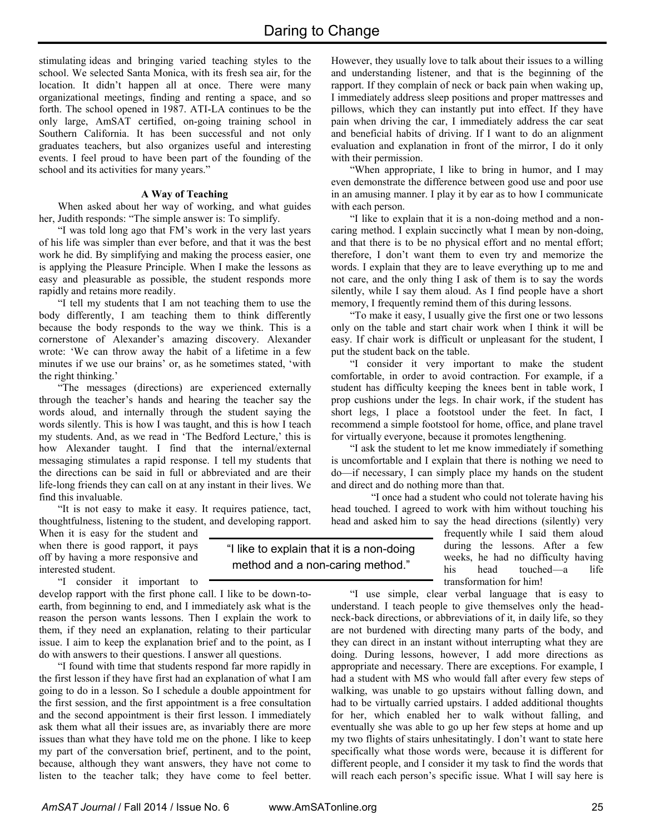stimulating ideas and bringing varied teaching styles to the school. We selected Santa Monica, with its fresh sea air, for the location. It didn't happen all at once. There were many organizational meetings, finding and renting a space, and so forth. The school opened in 1987. ATI-LA continues to be the only large, AmSAT certified, on-going training school in Southern California. It has been successful and not only graduates teachers, but also organizes useful and interesting events. I feel proud to have been part of the founding of the school and its activities for many years."

## **A Way of Teaching**

When asked about her way of working, and what guides her, Judith responds: "The simple answer is: To simplify.

"I was told long ago that FM's work in the very last years of his life was simpler than ever before, and that it was the best work he did. By simplifying and making the process easier, one is applying the Pleasure Principle. When I make the lessons as easy and pleasurable as possible, the student responds more rapidly and retains more readily.

"I tell my students that I am not teaching them to use the body differently, I am teaching them to think differently because the body responds to the way we think. This is a cornerstone of Alexander's amazing discovery. Alexander wrote: 'We can throw away the habit of a lifetime in a few minutes if we use our brains' or, as he sometimes stated, 'with the right thinking.'

"The messages (directions) are experienced externally through the teacher's hands and hearing the teacher say the words aloud, and internally through the student saying the words silently. This is how I was taught, and this is how I teach my students. And, as we read in 'The Bedford Lecture,' this is how Alexander taught. I find that the internal/external messaging stimulates a rapid response. I tell my students that the directions can be said in full or abbreviated and are their life-long friends they can call on at any instant in their lives. We find this invaluable.

"It is not easy to make it easy. It requires patience, tact, thoughtfulness, listening to the student, and developing rapport.

When it is easy for the student and when there is good rapport, it pays off by having a more responsive and interested student.

"I consider it important to

develop rapport with the first phone call. I like to be down-toearth, from beginning to end, and I immediately ask what is the reason the person wants lessons. Then I explain the work to them, if they need an explanation, relating to their particular issue. I aim to keep the explanation brief and to the point, as I do with answers to their questions. I answer all questions.

"I found with time that students respond far more rapidly in the first lesson if they have first had an explanation of what I am going to do in a lesson. So I schedule a double appointment for the first session, and the first appointment is a free consultation and the second appointment is their first lesson. I immediately ask them what all their issues are, as invariably there are more issues than what they have told me on the phone. I like to keep my part of the conversation brief, pertinent, and to the point, because, although they want answers, they have not come to listen to the teacher talk; they have come to feel better.

However, they usually love to talk about their issues to a willing and understanding listener, and that is the beginning of the rapport. If they complain of neck or back pain when waking up, I immediately address sleep positions and proper mattresses and pillows, which they can instantly put into effect. If they have pain when driving the car, I immediately address the car seat and beneficial habits of driving. If I want to do an alignment evaluation and explanation in front of the mirror, I do it only with their permission.

"When appropriate, I like to bring in humor, and I may even demonstrate the difference between good use and poor use in an amusing manner. I play it by ear as to how I communicate with each person.

"I like to explain that it is a non-doing method and a noncaring method. I explain succinctly what I mean by non-doing, and that there is to be no physical effort and no mental effort; therefore, I don't want them to even try and memorize the words. I explain that they are to leave everything up to me and not care, and the only thing I ask of them is to say the words silently, while I say them aloud. As I find people have a short memory, I frequently remind them of this during lessons.

"To make it easy, I usually give the first one or two lessons only on the table and start chair work when I think it will be easy. If chair work is difficult or unpleasant for the student, I put the student back on the table.

"I consider it very important to make the student comfortable, in order to avoid contraction. For example, if a student has difficulty keeping the knees bent in table work, I prop cushions under the legs. In chair work, if the student has short legs, I place a footstool under the feet. In fact, I recommend a simple footstool for home, office, and plane travel for virtually everyone, because it promotes lengthening.

"I ask the student to let me know immediately if something is uncomfortable and I explain that there is nothing we need to do—if necessary, I can simply place my hands on the student and direct and do nothing more than that.

 "I once had a student who could not tolerate having his head touched. I agreed to work with him without touching his head and asked him to say the head directions (silently) very

> frequently while I said them aloud during the lessons. After a few weeks, he had no difficulty having his head touched—a life transformation for him!

"I use simple, clear verbal language that is easy to understand. I teach people to give themselves only the headneck-back directions, or abbreviations of it, in daily life, so they are not burdened with directing many parts of the body, and they can direct in an instant without interrupting what they are doing. During lessons, however, I add more directions as appropriate and necessary. There are exceptions. For example, I had a student with MS who would fall after every few steps of walking, was unable to go upstairs without falling down, and had to be virtually carried upstairs. I added additional thoughts for her, which enabled her to walk without falling, and eventually she was able to go up her few steps at home and up my two flights of stairs unhesitatingly. I don't want to state here specifically what those words were, because it is different for different people, and I consider it my task to find the words that will reach each person's specific issue. What I will say here is

"I like to explain that it is a non-doing method and a non-caring method."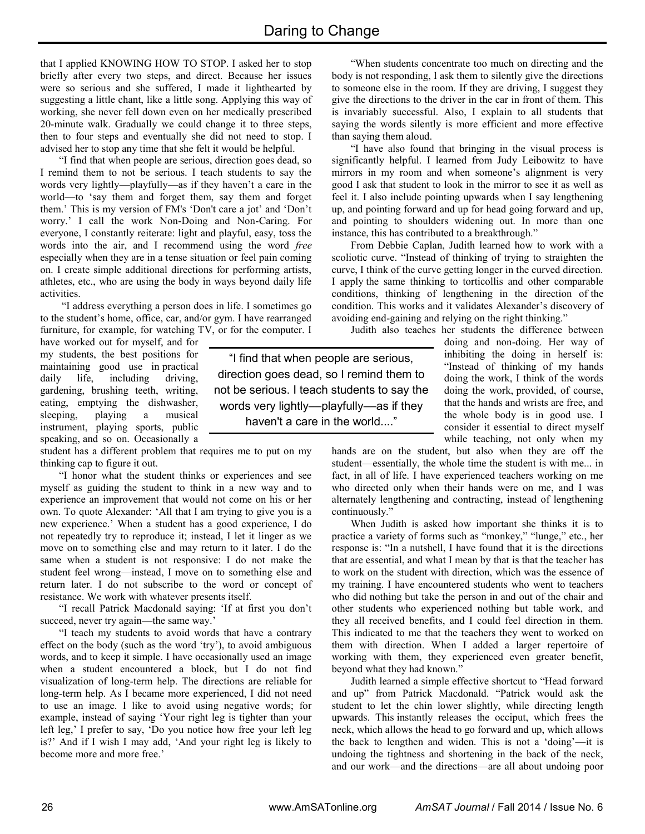that I applied KNOWING HOW TO STOP. I asked her to stop briefly after every two steps, and direct. Because her issues were so serious and she suffered, I made it lighthearted by suggesting a little chant, like a little song. Applying this way of working, she never fell down even on her medically prescribed 20-minute walk. Gradually we could change it to three steps, then to four steps and eventually she did not need to stop. I advised her to stop any time that she felt it would be helpful.

"I find that when people are serious, direction goes dead, so I remind them to not be serious. I teach students to say the words very lightly—playfully—as if they haven't a care in the world—to 'say them and forget them, say them and forget them.' This is my version of FM's 'Don't care a jot' and 'Don't worry.' I call the work Non-Doing and Non-Caring. For everyone, I constantly reiterate: light and playful, easy, toss the words into the air, and I recommend using the word *free* especially when they are in a tense situation or feel pain coming on. I create simple additional directions for performing artists, athletes, etc., who are using the body in ways beyond daily life activities.

"I address everything a person does in life. I sometimes go to the student's home, office, car, and/or gym. I have rearranged furniture, for example, for watching TV, or for the computer. I

have worked out for myself, and for my students, the best positions for maintaining good use in practical daily life, including driving, gardening, brushing teeth, writing, eating, emptying the dishwasher, sleeping, playing a musical instrument, playing sports, public speaking, and so on. Occasionally a

student has a different problem that requires me to put on my thinking cap to figure it out.

"I honor what the student thinks or experiences and see myself as guiding the student to think in a new way and to experience an improvement that would not come on his or her own. To quote Alexander: 'All that I am trying to give you is a new experience.' When a student has a good experience, I do not repeatedly try to reproduce it; instead, I let it linger as we move on to something else and may return to it later. I do the same when a student is not responsive: I do not make the student feel wrong—instead, I move on to something else and return later. I do not subscribe to the word or concept of resistance. We work with whatever presents itself.

"I recall Patrick Macdonald saying: 'If at first you don't succeed, never try again—the same way.'

"I teach my students to avoid words that have a contrary effect on the body (such as the word 'try'), to avoid ambiguous words, and to keep it simple. I have occasionally used an image when a student encountered a block, but I do not find visualization of long-term help. The directions are reliable for long-term help. As I became more experienced, I did not need to use an image. I like to avoid using negative words; for example, instead of saying 'Your right leg is tighter than your left leg,' I prefer to say, 'Do you notice how free your left leg is?' And if I wish I may add, 'And your right leg is likely to become more and more free.'

"I find that when people are serious, direction goes dead, so I remind them to not be serious. I teach students to say the words very lightly––playfully––as if they haven't a care in the world...."

"When students concentrate too much on directing and the body is not responding, I ask them to silently give the directions to someone else in the room. If they are driving, I suggest they give the directions to the driver in the car in front of them. This is invariably successful. Also, I explain to all students that saying the words silently is more efficient and more effective than saying them aloud.

"I have also found that bringing in the visual process is significantly helpful. I learned from Judy Leibowitz to have mirrors in my room and when someone's alignment is very good I ask that student to look in the mirror to see it as well as feel it. I also include pointing upwards when I say lengthening up, and pointing forward and up for head going forward and up, and pointing to shoulders widening out. In more than one instance, this has contributed to a breakthrough."

From Debbie Caplan, Judith learned how to work with a scoliotic curve. "Instead of thinking of trying to straighten the curve, I think of the curve getting longer in the curved direction. I apply the same thinking to torticollis and other comparable conditions, thinking of lengthening in the direction of the condition. This works and it validates Alexander's discovery of avoiding end-gaining and relying on the right thinking."

Judith also teaches her students the difference between doing and non-doing. Her way of inhibiting the doing in herself is: "Instead of thinking of my hands doing the work, I think of the words doing the work, provided, of course, that the hands and wrists are free, and the whole body is in good use. I consider it essential to direct myself while teaching, not only when my

hands are on the student, but also when they are off the student—essentially, the whole time the student is with me... in fact, in all of life. I have experienced teachers working on me who directed only when their hands were on me, and I was alternately lengthening and contracting, instead of lengthening continuously."

When Judith is asked how important she thinks it is to practice a variety of forms such as "monkey," "lunge," etc., her response is: "In a nutshell, I have found that it is the directions that are essential, and what I mean by that is that the teacher has to work on the student with direction, which was the essence of my training. I have encountered students who went to teachers who did nothing but take the person in and out of the chair and other students who experienced nothing but table work, and they all received benefits, and I could feel direction in them. This indicated to me that the teachers they went to worked on them with direction. When I added a larger repertoire of working with them, they experienced even greater benefit, beyond what they had known."

Judith learned a simple effective shortcut to "Head forward and up" from Patrick Macdonald. "Patrick would ask the student to let the chin lower slightly, while directing length upwards. This instantly releases the occiput, which frees the neck, which allows the head to go forward and up, which allows the back to lengthen and widen. This is not a 'doing'—it is undoing the tightness and shortening in the back of the neck, and our work—and the directions—are all about undoing poor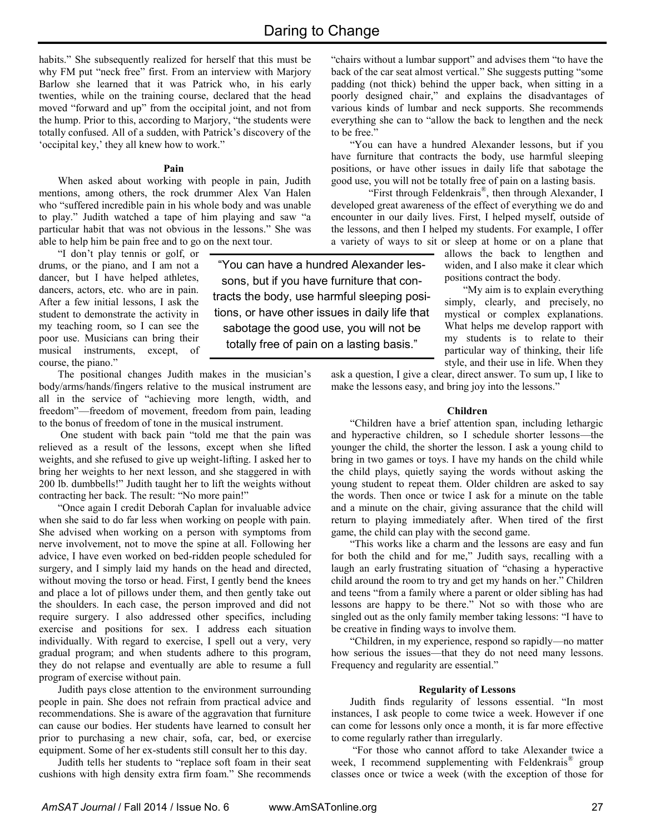"You can have a hundred Alexander lessons, but if you have furniture that contracts the body, use harmful sleeping positions, or have other issues in daily life that sabotage the good use, you will not be totally free of pain on a lasting basis."

habits." She subsequently realized for herself that this must be why FM put "neck free" first. From an interview with Marjory Barlow she learned that it was Patrick who, in his early twenties, while on the training course, declared that the head moved "forward and up" from the occipital joint, and not from the hump. Prior to this, according to Marjory, "the students were totally confused. All of a sudden, with Patrick's discovery of the 'occipital key,' they all knew how to work."

#### **Pain**

When asked about working with people in pain, Judith mentions, among others, the rock drummer Alex Van Halen who "suffered incredible pain in his whole body and was unable to play." Judith watched a tape of him playing and saw "a particular habit that was not obvious in the lessons." She was able to help him be pain free and to go on the next tour.

"I don't play tennis or golf, or drums, or the piano, and I am not a dancer, but I have helped athletes, dancers, actors, etc. who are in pain. After a few initial lessons, I ask the student to demonstrate the activity in my teaching room, so I can see the poor use. Musicians can bring their musical instruments, except, of course, the piano."

The positional changes Judith makes in the musician's body/arms/hands/fingers relative to the musical instrument are all in the service of "achieving more length, width, and freedom"—freedom of movement, freedom from pain, leading to the bonus of freedom of tone in the musical instrument.

One student with back pain "told me that the pain was relieved as a result of the lessons, except when she lifted weights, and she refused to give up weight-lifting. I asked her to bring her weights to her next lesson, and she staggered in with 200 lb. dumbbells!" Judith taught her to lift the weights without contracting her back. The result: "No more pain!"

"Once again I credit Deborah Caplan for invaluable advice when she said to do far less when working on people with pain. She advised when working on a person with symptoms from nerve involvement, not to move the spine at all. Following her advice, I have even worked on bed-ridden people scheduled for surgery, and I simply laid my hands on the head and directed, without moving the torso or head. First, I gently bend the knees and place a lot of pillows under them, and then gently take out the shoulders. In each case, the person improved and did not require surgery. I also addressed other specifics, including exercise and positions for sex. I address each situation individually. With regard to exercise, I spell out a very, very gradual program; and when students adhere to this program, they do not relapse and eventually are able to resume a full program of exercise without pain.

Judith pays close attention to the environment surrounding people in pain. She does not refrain from practical advice and recommendations. She is aware of the aggravation that furniture can cause our bodies. Her students have learned to consult her prior to purchasing a new chair, sofa, car, bed, or exercise equipment. Some of her ex-students still consult her to this day.

Judith tells her students to "replace soft foam in their seat cushions with high density extra firm foam." She recommends "chairs without a lumbar support" and advises them "to have the back of the car seat almost vertical." She suggests putting "some padding (not thick) behind the upper back, when sitting in a poorly designed chair," and explains the disadvantages of various kinds of lumbar and neck supports. She recommends everything she can to "allow the back to lengthen and the neck to be free."

"You can have a hundred Alexander lessons, but if you have furniture that contracts the body, use harmful sleeping positions, or have other issues in daily life that sabotage the good use, you will not be totally free of pain on a lasting basis.

 "First through Feldenkrais® , then through Alexander, I developed great awareness of the effect of everything we do and encounter in our daily lives. First, I helped myself, outside of the lessons, and then I helped my students. For example, I offer a variety of ways to sit or sleep at home or on a plane that

allows the back to lengthen and widen, and I also make it clear which positions contract the body.

 "My aim is to explain everything simply, clearly, and precisely, no mystical or complex explanations. What helps me develop rapport with my students is to relate to their particular way of thinking, their life style, and their use in life. When they

ask a question, I give a clear, direct answer. To sum up, I like to make the lessons easy, and bring joy into the lessons."

#### **Children**

"Children have a brief attention span, including lethargic and hyperactive children, so I schedule shorter lessons—the younger the child, the shorter the lesson. I ask a young child to bring in two games or toys. I have my hands on the child while the child plays, quietly saying the words without asking the young student to repeat them. Older children are asked to say the words. Then once or twice I ask for a minute on the table and a minute on the chair, giving assurance that the child will return to playing immediately after. When tired of the first game, the child can play with the second game.

"This works like a charm and the lessons are easy and fun for both the child and for me," Judith says, recalling with a laugh an early frustrating situation of "chasing a hyperactive child around the room to try and get my hands on her." Children and teens "from a family where a parent or older sibling has had lessons are happy to be there." Not so with those who are singled out as the only family member taking lessons: "I have to be creative in finding ways to involve them.

"Children, in my experience, respond so rapidly—no matter how serious the issues—that they do not need many lessons. Frequency and regularity are essential."

#### **Regularity of Lessons**

Judith finds regularity of lessons essential. "In most instances, I ask people to come twice a week. However if one can come for lessons only once a month, it is far more effective to come regularly rather than irregularly.

"For those who cannot afford to take Alexander twice a week, I recommend supplementing with Feldenkrais® group classes once or twice a week (with the exception of those for